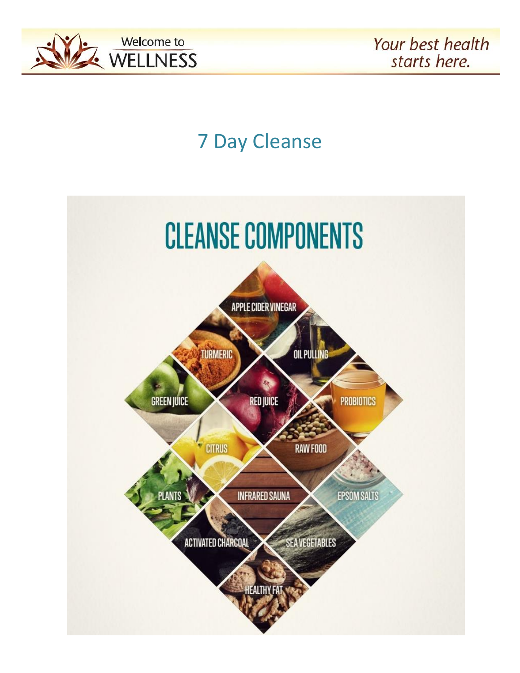

# 7 Day Cleanse

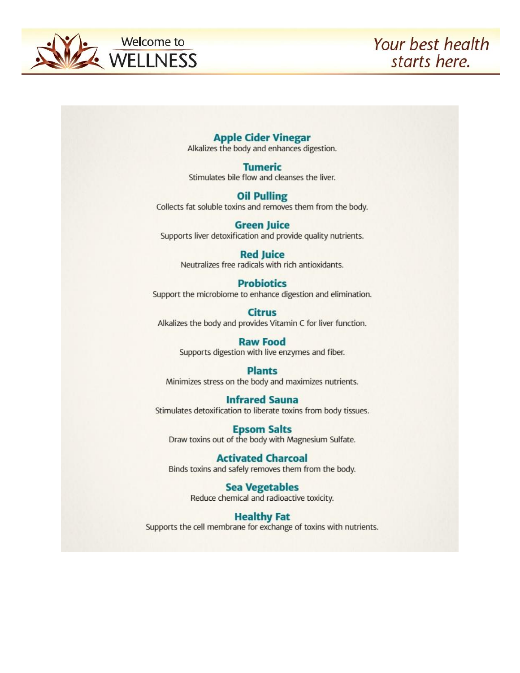

#### **Apple Cider Vinegar**

Alkalizes the body and enhances digestion.

**Tumeric** Stimulates bile flow and cleanses the liver.

#### **Oil Pulling**

Collects fat soluble toxins and removes them from the body.

#### **Green Juice** Supports liver detoxification and provide quality nutrients.

**Red Juice** Neutralizes free radicals with rich antioxidants.

#### **Probiotics**

Support the microbiome to enhance digestion and elimination.

**Citrus** Alkalizes the body and provides Vitamin C for liver function.

#### **Raw Food**

Supports digestion with live enzymes and fiber.

#### **Plants**

Minimizes stress on the body and maximizes nutrients.

#### **Infrared Sauna**

Stimulates detoxification to liberate toxins from body tissues.

**Epsom Salts** Draw toxins out of the body with Magnesium Sulfate.

#### **Activated Charcoal** Binds toxins and safely removes them from the body.

**Sea Vegetables** Reduce chemical and radioactive toxicity.

#### **Healthy Fat**

Supports the cell membrane for exchange of toxins with nutrients.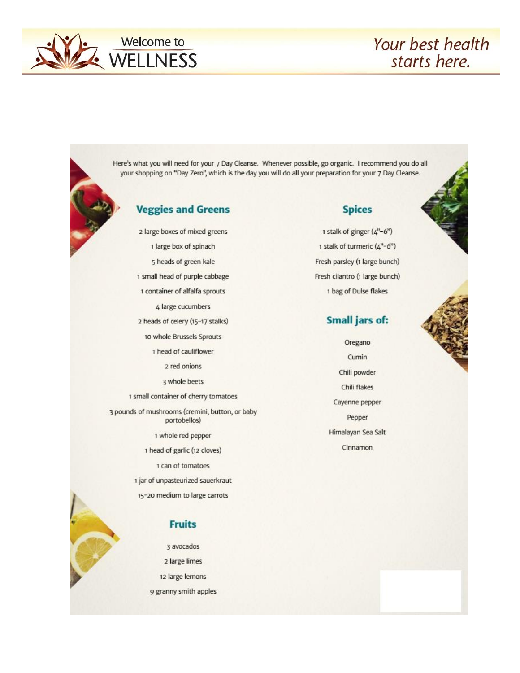

Here's what you will need for your 7 Day Cleanse. Whenever possible, go organic. I recommend you do all your shopping on "Day Zero", which is the day you will do all your preparation for your 7 Day Cleanse.

### **Veggies and Greens**

2 large boxes of mixed greens 1 large box of spinach 5 heads of green kale 1 small head of purple cabbage 1 container of alfalfa sprouts 4 large cucumbers 2 heads of celery (15-17 stalks) 10 whole Brussels Sprouts 1 head of cauliflower 2 red onions 3 whole beets 1 small container of cherry tomatoes 3 pounds of mushrooms (cremini, button, or baby portobellos) 1 whole red pepper 1 head of garlic (12 cloves) 1 can of tomatoes

1 jar of unpasteurized sauerkraut

15-20 medium to large carrots

#### **Fruits**

3 avocados 2 large limes 12 large lemons 9 granny smith apples

#### **Spices**

1 stalk of ginger (4"-6") 1 stalk of turmeric (4"-6") Fresh parsley (1 large bunch) Fresh cilantro (1 large bunch) 1 bag of Dulse flakes

#### **Small jars of:**

Oregano Cumin Chili powder Chili flakes Cayenne pepper Pepper Himalayan Sea Salt Cinnamon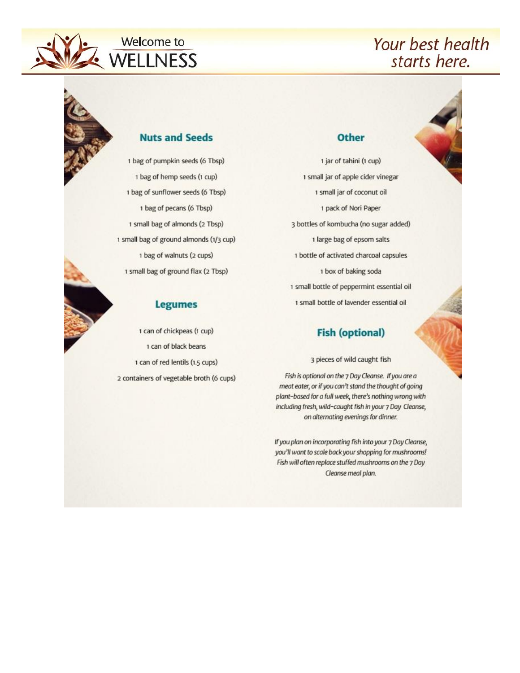

# **Welcome to** WELLNESS

# Your best health starts here.

#### **Nuts and Seeds**

1 bag of pumpkin seeds (6 Tbsp) 1 bag of hemp seeds (1 cup) 1 bag of sunflower seeds (6 Tbsp) 1 bag of pecans (6 Tbsp) 1 small bag of almonds (2 Tbsp) 1 small bag of ground almonds (1/3 cup) 1 bag of walnuts (2 cups) 1 small bag of ground flax (2 Tbsp)

#### **Legumes**

1 can of chickpeas (1 cup) 1 can of black beans 1 can of red lentils (1.5 cups) 2 containers of vegetable broth (6 cups)

#### **Other**

1 jar of tahini (1 cup) 1 small jar of apple cider vinegar 1 small jar of coconut oil 1 pack of Nori Paper 3 bottles of kombucha (no sugar added) 1 large bag of epsom salts 1 bottle of activated charcoal capsules 1 box of baking soda 1 small bottle of peppermint essential oil 1 small bottle of lavender essential oil

#### **Fish (optional)**

3 pieces of wild caught fish

Fish is optional on the 7 Day Cleanse. If you are a meat eater, or if you can't stand the thought of going plant-based for a full week, there's nothing wrong with including fresh, wild-caught fish in your 7 Day Cleanse, on alternating evenings for dinner.

If you plan on incorporating fish into your 7 Day Cleanse, you'll want to scale back your shopping for mushrooms! Fish will often replace stuffed mushrooms on the 7 Day Cleanse meal plan.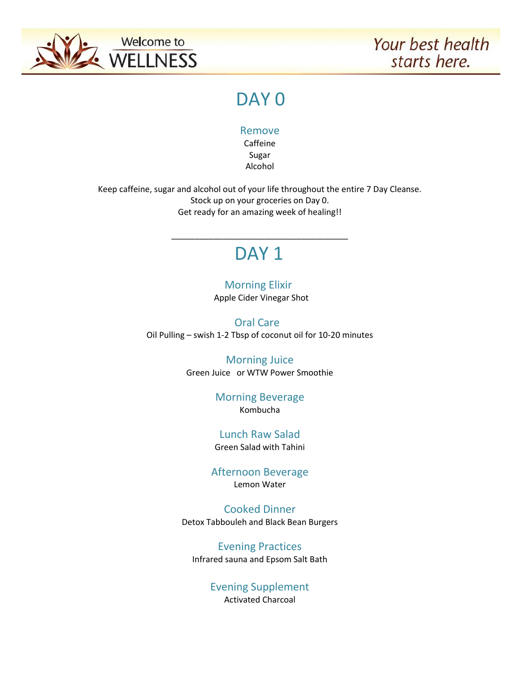

# DAY<sub>0</sub>

Remove

Caffeine Sugar Alcohol

Keep caffeine, sugar and alcohol out of your life throughout the entire 7 Day Cleanse. Stock up on your groceries on Day 0. Get ready for an amazing week of healing!!

# DAY<sub>1</sub>

\_\_\_\_\_\_\_\_\_\_\_\_\_\_\_\_\_\_\_\_\_\_\_\_\_\_\_\_\_\_\_\_\_\_\_\_\_\_

 Morning Elixir Apple Cider Vinegar Shot

 Oral Care Oil Pulling – swish 1-2 Tbsp of coconut oil for 10-20 minutes

> Morning Juice Green Juice or WTW Power Smoothie

> > Morning Beverage Kombucha

Lunch Raw Salad Green Salad with Tahini

Afternoon Beverage Lemon Water

Cooked Dinner Detox Tabbouleh and Black Bean Burgers

Evening Practices Infrared sauna and Epsom Salt Bath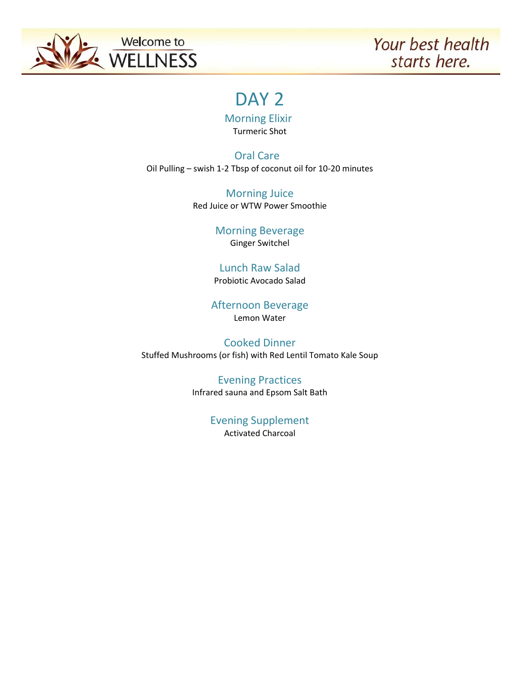

# DAY<sub>2</sub>

Morning Elixir

Turmeric Shot

 Oral Care Oil Pulling – swish 1-2 Tbsp of coconut oil for 10-20 minutes

> Morning Juice Red Juice or WTW Power Smoothie

> > Morning Beverage Ginger Switchel

#### Lunch Raw Salad Probiotic Avocado Salad

Afternoon Beverage Lemon Water

Cooked Dinner Stuffed Mushrooms (or fish) with Red Lentil Tomato Kale Soup

# Evening Practices

Infrared sauna and Epsom Salt Bath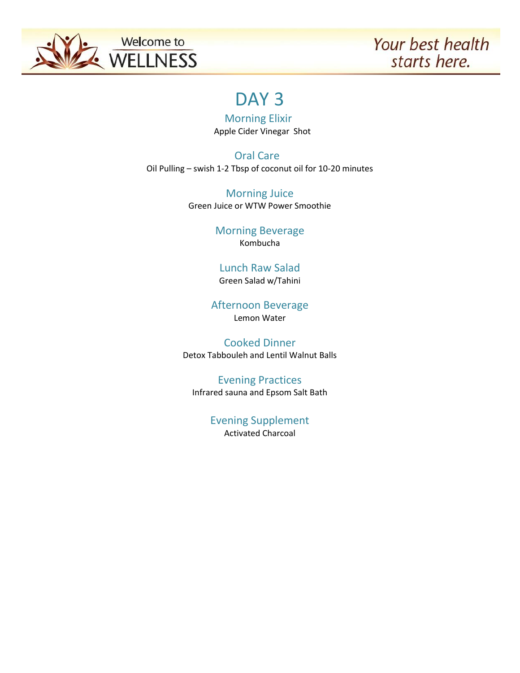

# DAY<sub>3</sub>

 Morning Elixir Apple Cider Vinegar Shot

 Oral Care Oil Pulling – swish 1-2 Tbsp of coconut oil for 10-20 minutes

> Morning Juice Green Juice or WTW Power Smoothie

> > Morning Beverage Kombucha

#### Lunch Raw Salad Green Salad w/Tahini

Afternoon Beverage Lemon Water

Cooked Dinner Detox Tabbouleh and Lentil Walnut Balls

Evening Practices Infrared sauna and Epsom Salt Bath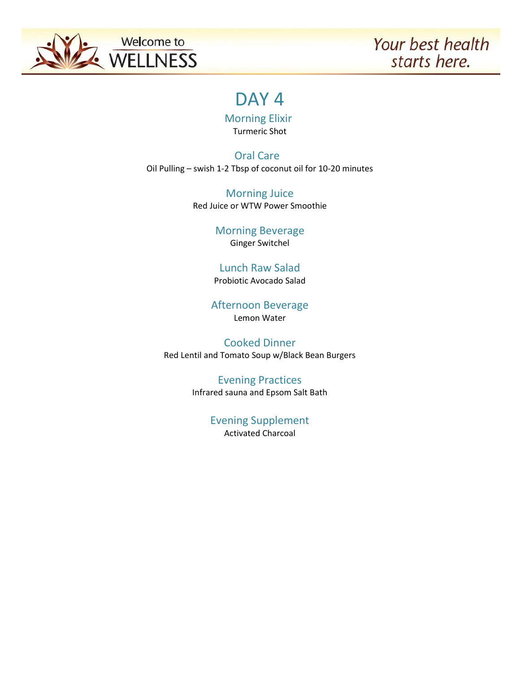

# DAY<sub>4</sub>

 Morning Elixir Turmeric Shot

 Oral Care Oil Pulling – swish 1-2 Tbsp of coconut oil for 10-20 minutes

> Morning Juice Red Juice or WTW Power Smoothie

> > Morning Beverage Ginger Switchel

#### Lunch Raw Salad Probiotic Avocado Salad

Afternoon Beverage Lemon Water

Cooked Dinner Red Lentil and Tomato Soup w/Black Bean Burgers

#### Evening Practices Infrared sauna and Epsom Salt Bath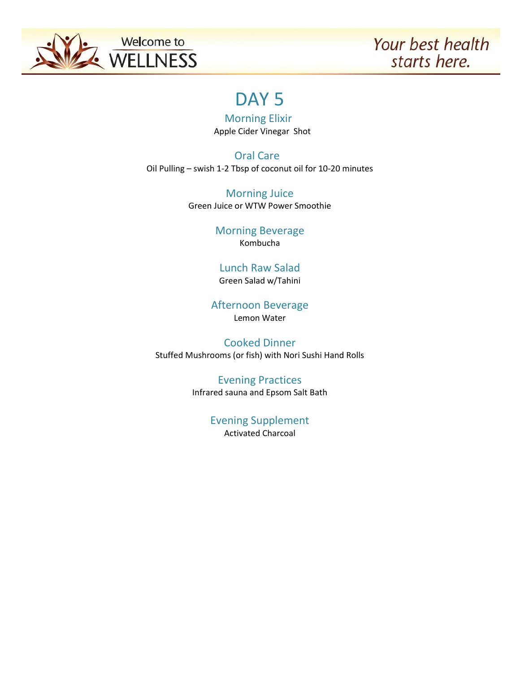

# DAY<sub>5</sub>

 Morning Elixir Apple Cider Vinegar Shot

 Oral Care Oil Pulling – swish 1-2 Tbsp of coconut oil for 10-20 minutes

> Morning Juice Green Juice or WTW Power Smoothie

> > Morning Beverage Kombucha

#### Lunch Raw Salad Green Salad w/Tahini

Afternoon Beverage Lemon Water

Cooked Dinner Stuffed Mushrooms (or fish) with Nori Sushi Hand Rolls

#### Evening Practices Infrared sauna and Epsom Salt Bath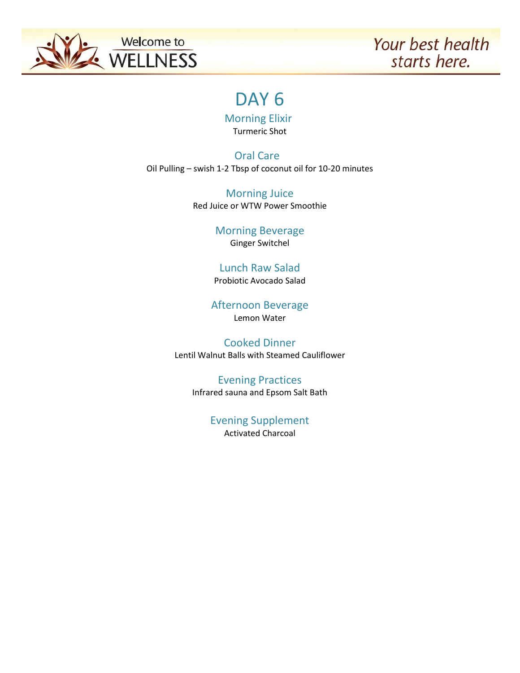

# DAY<sub>6</sub>

 Morning Elixir Turmeric Shot

 Oral Care Oil Pulling – swish 1-2 Tbsp of coconut oil for 10-20 minutes

> Morning Juice Red Juice or WTW Power Smoothie

> > Morning Beverage Ginger Switchel

#### Lunch Raw Salad Probiotic Avocado Salad

Afternoon Beverage Lemon Water

Cooked Dinner Lentil Walnut Balls with Steamed Cauliflower

> Evening Practices Infrared sauna and Epsom Salt Bath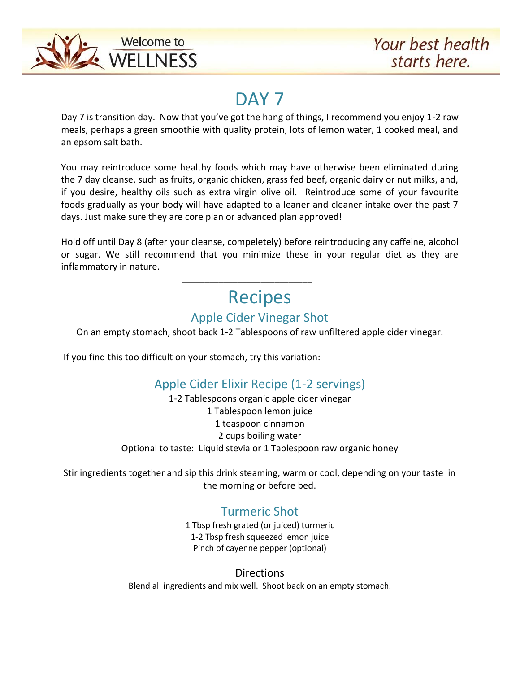

# DAY<sub>7</sub>

Day 7 is transition day. Now that you've got the hang of things, I recommend you enjoy 1-2 raw meals, perhaps a green smoothie with quality protein, lots of lemon water, 1 cooked meal, and an epsom salt bath.

You may reintroduce some healthy foods which may have otherwise been eliminated during the 7 day cleanse, such as fruits, organic chicken, grass fed beef, organic dairy or nut milks, and, if you desire, healthy oils such as extra virgin olive oil. Reintroduce some of your favourite foods gradually as your body will have adapted to a leaner and cleaner intake over the past 7 days. Just make sure they are core plan or advanced plan approved!

Hold off until Day 8 (after your cleanse, compeletely) before reintroducing any caffeine, alcohol or sugar. We still recommend that you minimize these in your regular diet as they are inflammatory in nature.

# Recipes

# Apple Cider Vinegar Shot

On an empty stomach, shoot back 1-2 Tablespoons of raw unfiltered apple cider vinegar.

If you find this too difficult on your stomach, try this variation:

 $\frac{1}{\sqrt{2\pi}}$  ,  $\frac{1}{\sqrt{2\pi}}$  ,  $\frac{1}{\sqrt{2\pi}}$  ,  $\frac{1}{\sqrt{2\pi}}$  ,  $\frac{1}{\sqrt{2\pi}}$  ,  $\frac{1}{\sqrt{2\pi}}$  ,  $\frac{1}{\sqrt{2\pi}}$  ,  $\frac{1}{\sqrt{2\pi}}$  ,  $\frac{1}{\sqrt{2\pi}}$  ,  $\frac{1}{\sqrt{2\pi}}$  ,  $\frac{1}{\sqrt{2\pi}}$  ,  $\frac{1}{\sqrt{2\pi}}$  ,  $\frac{1}{\sqrt{2\pi}}$  ,

# Apple Cider Elixir Recipe (1-2 servings)

1-2 Tablespoons organic apple cider vinegar 1 Tablespoon lemon juice 1 teaspoon cinnamon 2 cups boiling water Optional to taste: Liquid stevia or 1 Tablespoon raw organic honey

Stir ingredients together and sip this drink steaming, warm or cool, depending on your taste in the morning or before bed.

# Turmeric Shot

1 Tbsp fresh grated (or juiced) turmeric 1-2 Tbsp fresh squeezed lemon juice Pinch of cayenne pepper (optional)

**Directions** Blend all ingredients and mix well. Shoot back on an empty stomach.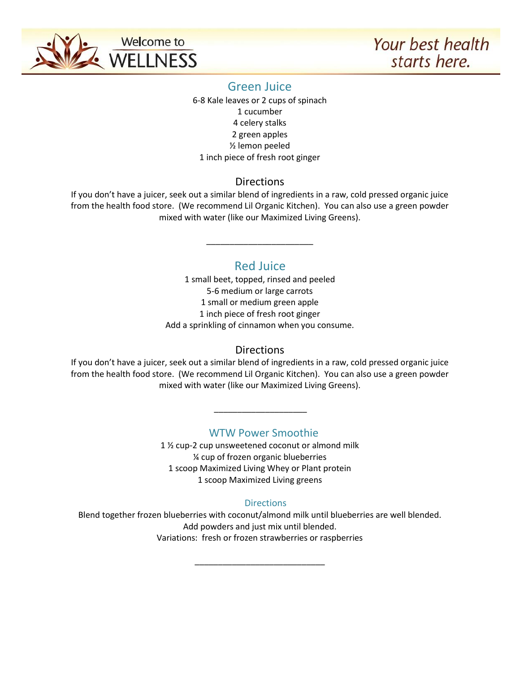

## Green Juice

6-8 Kale leaves or 2 cups of spinach 1 cucumber 4 celery stalks 2 green apples ½ lemon peeled 1 inch piece of fresh root ginger

## **Directions**

If you don't have a juicer, seek out a similar blend of ingredients in a raw, cold pressed organic juice from the health food store. (We recommend Lil Organic Kitchen). You can also use a green powder mixed with water (like our Maximized Living Greens).

# Red Juice

\_\_\_\_\_\_\_\_\_\_\_\_\_\_\_\_\_\_\_\_\_\_\_

1 small beet, topped, rinsed and peeled 5-6 medium or large carrots 1 small or medium green apple 1 inch piece of fresh root ginger Add a sprinkling of cinnamon when you consume.

## **Directions**

If you don't have a juicer, seek out a similar blend of ingredients in a raw, cold pressed organic juice from the health food store. (We recommend Lil Organic Kitchen). You can also use a green powder mixed with water (like our Maximized Living Greens).

## WTW Power Smoothie

\_\_\_\_\_\_\_\_\_\_\_\_\_\_\_\_\_\_\_\_

1 ½ cup-2 cup unsweetened coconut or almond milk ¼ cup of frozen organic blueberries 1 scoop Maximized Living Whey or Plant protein 1 scoop Maximized Living greens

## **Directions**

Blend together frozen blueberries with coconut/almond milk until blueberries are well blended. Add powders and just mix until blended. Variations: fresh or frozen strawberries or raspberries

\_\_\_\_\_\_\_\_\_\_\_\_\_\_\_\_\_\_\_\_\_\_\_\_\_\_\_\_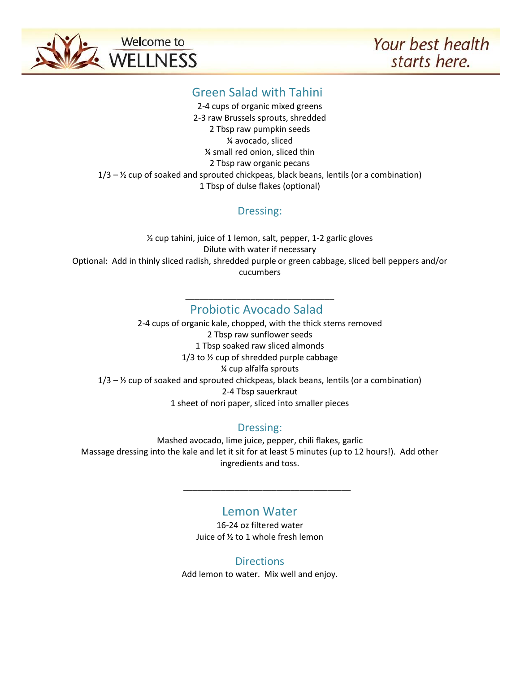

# Green Salad with Tahini

2-4 cups of organic mixed greens 2-3 raw Brussels sprouts, shredded 2 Tbsp raw pumpkin seeds ¼ avocado, sliced ¼ small red onion, sliced thin 2 Tbsp raw organic pecans  $1/3 - 2/2$  cup of soaked and sprouted chickpeas, black beans, lentils (or a combination) 1 Tbsp of dulse flakes (optional)

## Dressing:

½ cup tahini, juice of 1 lemon, salt, pepper, 1-2 garlic gloves Dilute with water if necessary Optional: Add in thinly sliced radish, shredded purple or green cabbage, sliced bell peppers and/or cucumbers

### \_\_\_\_\_\_\_\_\_\_\_\_\_\_\_\_\_\_\_\_\_\_\_\_\_\_\_\_\_\_\_\_ Probiotic Avocado Salad

2-4 cups of organic kale, chopped, with the thick stems removed 2 Tbsp raw sunflower seeds 1 Tbsp soaked raw sliced almonds 1/3 to ½ cup of shredded purple cabbage ¼ cup alfalfa sprouts  $1/3 - 2/2$  cup of soaked and sprouted chickpeas, black beans, lentils (or a combination) 2-4 Tbsp sauerkraut 1 sheet of nori paper, sliced into smaller pieces

## Dressing:

Mashed avocado, lime juice, pepper, chili flakes, garlic Massage dressing into the kale and let it sit for at least 5 minutes (up to 12 hours!). Add other ingredients and toss.

# Lemon Water

\_\_\_\_\_\_\_\_\_\_\_\_\_\_\_\_\_\_\_\_\_\_\_\_\_\_\_\_\_\_\_\_\_\_\_\_

16-24 oz filtered water Juice of ½ to 1 whole fresh lemon

### **Directions**

Add lemon to water. Mix well and enjoy.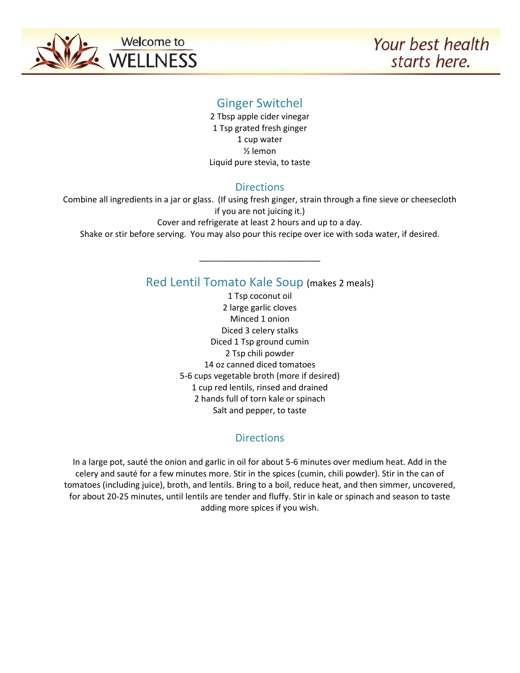

## Ginger Switchel

2 Tbsp apple cider vinegar 1 Tsp grated fresh ginger 1 cup water ½ lemon Liquid pure stevia, to taste

### **Directions**

Combine all ingredients in a jar or glass. (If using fresh ginger, strain through a fine sieve or cheesecloth if you are not juicing it.) Cover and refrigerate at least 2 hours and up to a day.

Shake or stir before serving. You may also pour this recipe over ice with soda water, if desired.

\_\_\_\_\_\_\_\_\_\_\_\_\_\_\_\_\_\_\_\_\_\_\_\_\_\_

## Red Lentil Tomato Kale Soup (makes 2 meals)

1 Tsp coconut oil 2 large garlic cloves Minced 1 onion Diced 3 celery stalks Diced 1 Tsp ground cumin 2 Tsp chili powder 14 oz canned diced tomatoes 5-6 cups vegetable broth (more if desired) 1 cup red lentils, rinsed and drained 2 hands full of torn kale or spinach Salt and pepper, to taste

## **Directions**

In a large pot, sauté the onion and garlic in oil for about 5-6 minutes over medium heat. Add in the celery and sauté for a few minutes more. Stir in the spices (cumin, chili powder). Stir in the can of tomatoes (including juice), broth, and lentils. Bring to a boil, reduce heat, and then simmer, uncovered, for about 20-25 minutes, until lentils are tender and fluffy. Stir in kale or spinach and season to taste adding more spices if you wish.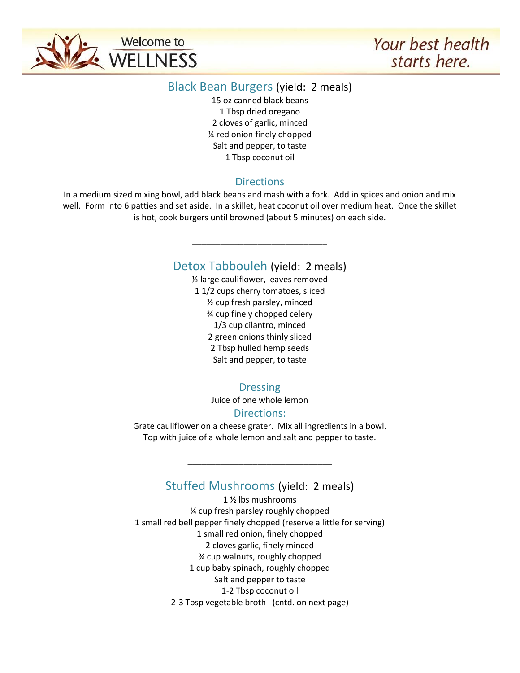

### Black Bean Burgers (yield: 2 meals)

15 oz canned black beans 1 Tbsp dried oregano 2 cloves of garlic, minced ¼ red onion finely chopped Salt and pepper, to taste 1 Tbsp coconut oil

## **Directions**

In a medium sized mixing bowl, add black beans and mash with a fork. Add in spices and onion and mix well. Form into 6 patties and set aside. In a skillet, heat coconut oil over medium heat. Once the skillet is hot, cook burgers until browned (about 5 minutes) on each side.

## Detox Tabbouleh (yield: 2 meals)

\_\_\_\_\_\_\_\_\_\_\_\_\_\_\_\_\_\_\_\_\_\_\_\_\_\_\_\_\_

½ large cauliflower, leaves removed 1 1/2 cups cherry tomatoes, sliced ½ cup fresh parsley, minced ¾ cup finely chopped celery 1/3 cup cilantro, minced 2 green onions thinly sliced 2 Tbsp hulled hemp seeds Salt and pepper, to taste

## Dressing

Juice of one whole lemon

### Directions:

Grate cauliflower on a cheese grater. Mix all ingredients in a bowl. Top with juice of a whole lemon and salt and pepper to taste.

## Stuffed Mushrooms (yield: 2 meals)

\_\_\_\_\_\_\_\_\_\_\_\_\_\_\_\_\_\_\_\_\_\_\_\_\_\_\_\_\_\_\_

1 ½ lbs mushrooms ¼ cup fresh parsley roughly chopped 1 small red bell pepper finely chopped (reserve a little for serving) 1 small red onion, finely chopped 2 cloves garlic, finely minced ¾ cup walnuts, roughly chopped 1 cup baby spinach, roughly chopped Salt and pepper to taste 1-2 Tbsp coconut oil 2-3 Tbsp vegetable broth (cntd. on next page)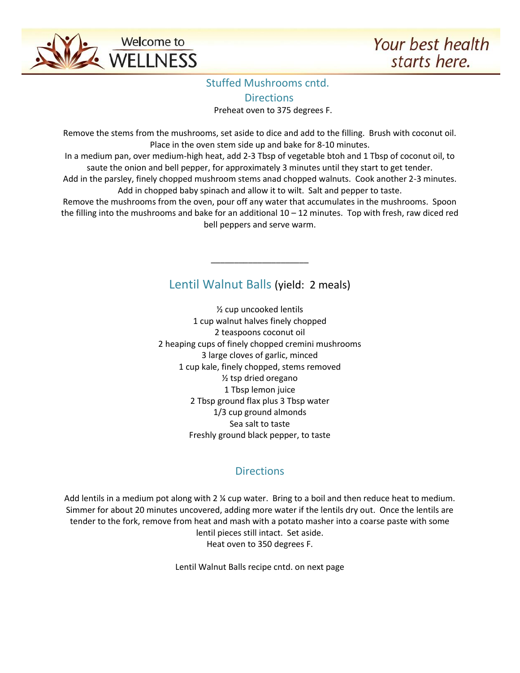

# Stuffed Mushrooms cntd. **Directions**

Preheat oven to 375 degrees F.

Remove the stems from the mushrooms, set aside to dice and add to the filling. Brush with coconut oil. Place in the oven stem side up and bake for 8-10 minutes.

In a medium pan, over medium-high heat, add 2-3 Tbsp of vegetable btoh and 1 Tbsp of coconut oil, to saute the onion and bell pepper, for approximately 3 minutes until they start to get tender.

Add in the parsley, finely chopped mushroom stems anad chopped walnuts. Cook another 2-3 minutes. Add in chopped baby spinach and allow it to wilt. Salt and pepper to taste.

Remove the mushrooms from the oven, pour off any water that accumulates in the mushrooms. Spoon the filling into the mushrooms and bake for an additional  $10 - 12$  minutes. Top with fresh, raw diced red bell peppers and serve warm.

# Lentil Walnut Balls (yield: 2 meals)

\_\_\_\_\_\_\_\_\_\_\_\_\_\_\_\_\_\_\_\_\_

½ cup uncooked lentils 1 cup walnut halves finely chopped 2 teaspoons coconut oil 2 heaping cups of finely chopped cremini mushrooms 3 large cloves of garlic, minced 1 cup kale, finely chopped, stems removed ½ tsp dried oregano 1 Tbsp lemon juice 2 Tbsp ground flax plus 3 Tbsp water 1/3 cup ground almonds Sea salt to taste Freshly ground black pepper, to taste

## **Directions**

Add lentils in a medium pot along with 2 % cup water. Bring to a boil and then reduce heat to medium. Simmer for about 20 minutes uncovered, adding more water if the lentils dry out. Once the lentils are tender to the fork, remove from heat and mash with a potato masher into a coarse paste with some lentil pieces still intact. Set aside. Heat oven to 350 degrees F.

Lentil Walnut Balls recipe cntd. on next page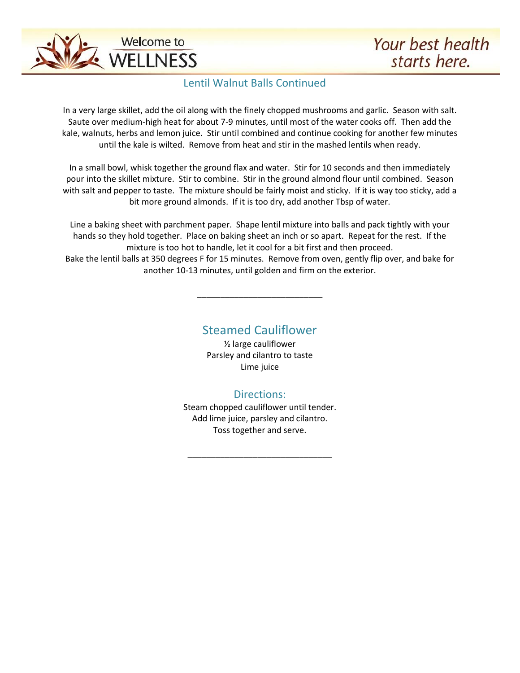

### Lentil Walnut Balls Continued

In a very large skillet, add the oil along with the finely chopped mushrooms and garlic. Season with salt. Saute over medium-high heat for about 7-9 minutes, until most of the water cooks off. Then add the kale, walnuts, herbs and lemon juice. Stir until combined and continue cooking for another few minutes until the kale is wilted. Remove from heat and stir in the mashed lentils when ready.

In a small bowl, whisk together the ground flax and water. Stir for 10 seconds and then immediately pour into the skillet mixture. Stir to combine. Stir in the ground almond flour until combined. Season with salt and pepper to taste. The mixture should be fairly moist and sticky. If it is way too sticky, add a bit more ground almonds. If it is too dry, add another Tbsp of water.

Line a baking sheet with parchment paper. Shape lentil mixture into balls and pack tightly with your hands so they hold together. Place on baking sheet an inch or so apart. Repeat for the rest. If the mixture is too hot to handle, let it cool for a bit first and then proceed. Bake the lentil balls at 350 degrees F for 15 minutes. Remove from oven, gently flip over, and bake for another 10-13 minutes, until golden and firm on the exterior.

# Steamed Cauliflower

\_\_\_\_\_\_\_\_\_\_\_\_\_\_\_\_\_\_\_\_\_\_\_\_\_\_\_

½ large cauliflower Parsley and cilantro to taste Lime juice

### Directions:

Steam chopped cauliflower until tender. Add lime juice, parsley and cilantro. Toss together and serve.

\_\_\_\_\_\_\_\_\_\_\_\_\_\_\_\_\_\_\_\_\_\_\_\_\_\_\_\_\_\_\_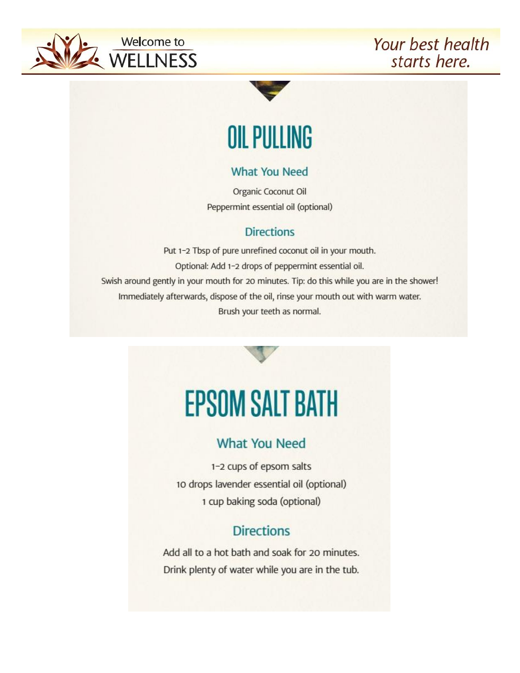



# **OIL PULLING**

# **What You Need**

Organic Coconut Oil Peppermint essential oil (optional)

# **Directions**

Put 1-2 Tbsp of pure unrefined coconut oil in your mouth. Optional: Add 1-2 drops of peppermint essential oil. Swish around gently in your mouth for 20 minutes. Tip: do this while you are in the shower! Immediately afterwards, dispose of the oil, rinse your mouth out with warm water. Brush your teeth as normal.



# **What You Need**

1-2 cups of epsom salts 10 drops lavender essential oil (optional) 1 cup baking soda (optional)

# **Directions**

Add all to a hot bath and soak for 20 minutes. Drink plenty of water while you are in the tub.